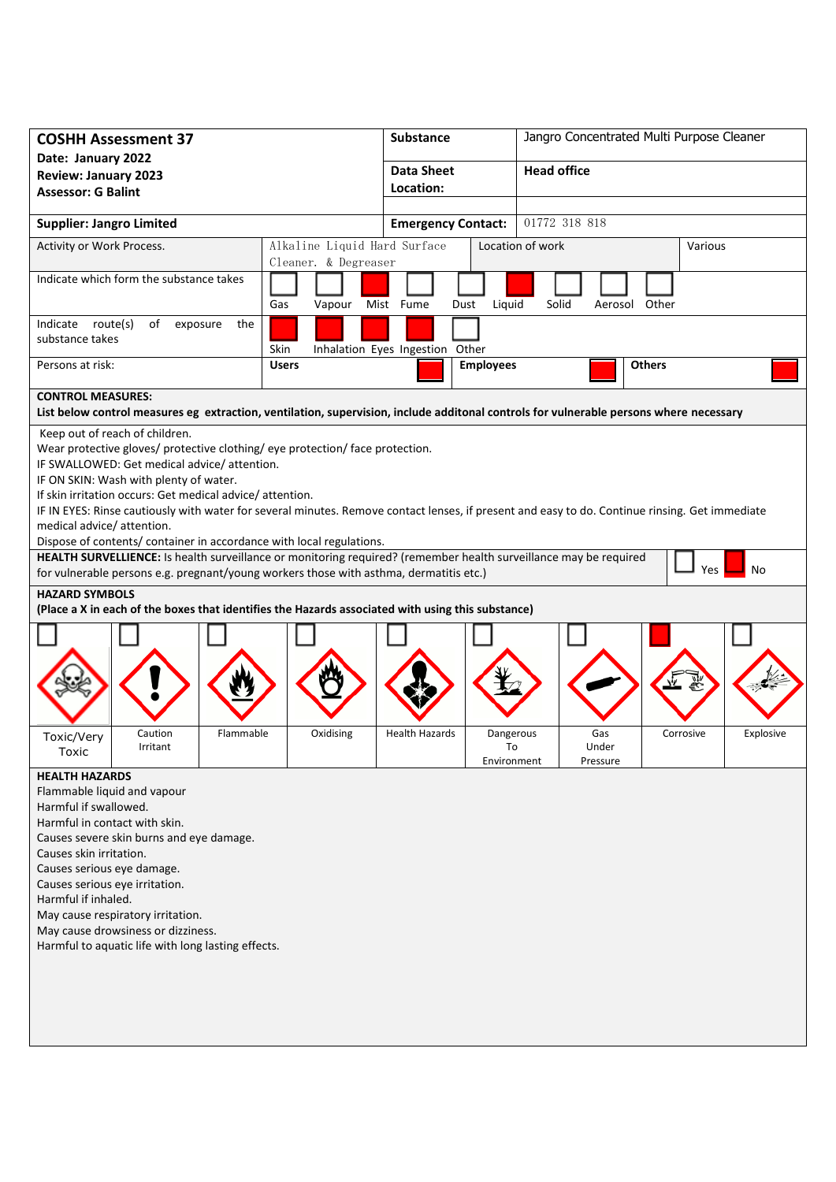| <b>COSHH Assessment 37</b><br>Date: January 2022                                                                                               |                      | <b>Substance</b>                |                  | Jangro Concentrated Multi Purpose Cleaner |               |           |  |  |
|------------------------------------------------------------------------------------------------------------------------------------------------|----------------------|---------------------------------|------------------|-------------------------------------------|---------------|-----------|--|--|
| <b>Review: January 2023</b>                                                                                                                    |                      | <b>Data Sheet</b>               |                  | <b>Head office</b>                        |               |           |  |  |
| <b>Assessor: G Balint</b>                                                                                                                      |                      | Location:                       |                  |                                           |               |           |  |  |
|                                                                                                                                                |                      |                                 |                  |                                           |               |           |  |  |
| <b>Supplier: Jangro Limited</b>                                                                                                                |                      | <b>Emergency Contact:</b>       |                  | 01772 318 818                             |               |           |  |  |
| Alkaline Liquid Hard Surface<br>Activity or Work Process.                                                                                      |                      |                                 |                  | Location of work                          | Various       |           |  |  |
|                                                                                                                                                | Cleaner. & Degreaser |                                 |                  |                                           |               |           |  |  |
| Indicate which form the substance takes                                                                                                        | Gas<br>Vapour        | Mist Fume<br>Dust               | Liquid           | Solid                                     | Aerosol Other |           |  |  |
| Indicate route(s)<br>of<br>exposure<br>the                                                                                                     |                      |                                 |                  |                                           |               |           |  |  |
| substance takes                                                                                                                                | Skin                 | Inhalation Eyes Ingestion Other |                  |                                           |               |           |  |  |
| Persons at risk:                                                                                                                               | <b>Users</b>         |                                 | <b>Employees</b> |                                           | <b>Others</b> |           |  |  |
| <b>CONTROL MEASURES:</b>                                                                                                                       |                      |                                 |                  |                                           |               |           |  |  |
| List below control measures eg extraction, ventilation, supervision, include additonal controls for vulnerable persons where necessary         |                      |                                 |                  |                                           |               |           |  |  |
| Keep out of reach of children.                                                                                                                 |                      |                                 |                  |                                           |               |           |  |  |
| Wear protective gloves/ protective clothing/ eye protection/ face protection.                                                                  |                      |                                 |                  |                                           |               |           |  |  |
| IF SWALLOWED: Get medical advice/attention.                                                                                                    |                      |                                 |                  |                                           |               |           |  |  |
| IF ON SKIN: Wash with plenty of water.                                                                                                         |                      |                                 |                  |                                           |               |           |  |  |
| If skin irritation occurs: Get medical advice/attention.                                                                                       |                      |                                 |                  |                                           |               |           |  |  |
| IF IN EYES: Rinse cautiously with water for several minutes. Remove contact lenses, if present and easy to do. Continue rinsing. Get immediate |                      |                                 |                  |                                           |               |           |  |  |
| medical advice/ attention.                                                                                                                     |                      |                                 |                  |                                           |               |           |  |  |
| Dispose of contents/ container in accordance with local regulations.                                                                           |                      |                                 |                  |                                           |               |           |  |  |
| HEALTH SURVELLIENCE: Is health surveillance or monitoring required? (remember health surveillance may be required                              |                      |                                 |                  |                                           |               |           |  |  |
| No<br>Yes<br>for vulnerable persons e.g. pregnant/young workers those with asthma, dermatitis etc.)                                            |                      |                                 |                  |                                           |               |           |  |  |
| <b>HAZARD SYMBOLS</b><br>(Place a X in each of the boxes that identifies the Hazards associated with using this substance)                     |                      |                                 |                  |                                           |               |           |  |  |
|                                                                                                                                                |                      |                                 |                  |                                           |               |           |  |  |
|                                                                                                                                                |                      |                                 |                  |                                           |               |           |  |  |
|                                                                                                                                                |                      |                                 |                  |                                           |               |           |  |  |
|                                                                                                                                                |                      |                                 |                  |                                           |               |           |  |  |
|                                                                                                                                                |                      |                                 |                  |                                           |               |           |  |  |
|                                                                                                                                                |                      |                                 |                  |                                           |               |           |  |  |
| Caution<br>Flammable                                                                                                                           | Oxidising            | <b>Health Hazards</b>           | Dangerous        | Gas                                       | Corrosive     | Explosive |  |  |
| Toxic/Very<br>Irritant                                                                                                                         |                      |                                 | To               | Under                                     |               |           |  |  |
| Toxic                                                                                                                                          |                      |                                 | Environment      | Pressure                                  |               |           |  |  |
| <b>HEALTH HAZARDS</b>                                                                                                                          |                      |                                 |                  |                                           |               |           |  |  |
| Flammable liquid and vapour                                                                                                                    |                      |                                 |                  |                                           |               |           |  |  |
| Harmful if swallowed.                                                                                                                          |                      |                                 |                  |                                           |               |           |  |  |
| Harmful in contact with skin.                                                                                                                  |                      |                                 |                  |                                           |               |           |  |  |
| Causes severe skin burns and eye damage.                                                                                                       |                      |                                 |                  |                                           |               |           |  |  |
| Causes skin irritation.                                                                                                                        |                      |                                 |                  |                                           |               |           |  |  |
| Causes serious eye damage.                                                                                                                     |                      |                                 |                  |                                           |               |           |  |  |
| Causes serious eye irritation.                                                                                                                 |                      |                                 |                  |                                           |               |           |  |  |
| Harmful if inhaled.                                                                                                                            |                      |                                 |                  |                                           |               |           |  |  |
| May cause respiratory irritation.                                                                                                              |                      |                                 |                  |                                           |               |           |  |  |
| May cause drowsiness or dizziness.                                                                                                             |                      |                                 |                  |                                           |               |           |  |  |
| Harmful to aquatic life with long lasting effects.                                                                                             |                      |                                 |                  |                                           |               |           |  |  |
|                                                                                                                                                |                      |                                 |                  |                                           |               |           |  |  |
|                                                                                                                                                |                      |                                 |                  |                                           |               |           |  |  |
|                                                                                                                                                |                      |                                 |                  |                                           |               |           |  |  |
|                                                                                                                                                |                      |                                 |                  |                                           |               |           |  |  |
|                                                                                                                                                |                      |                                 |                  |                                           |               |           |  |  |
|                                                                                                                                                |                      |                                 |                  |                                           |               |           |  |  |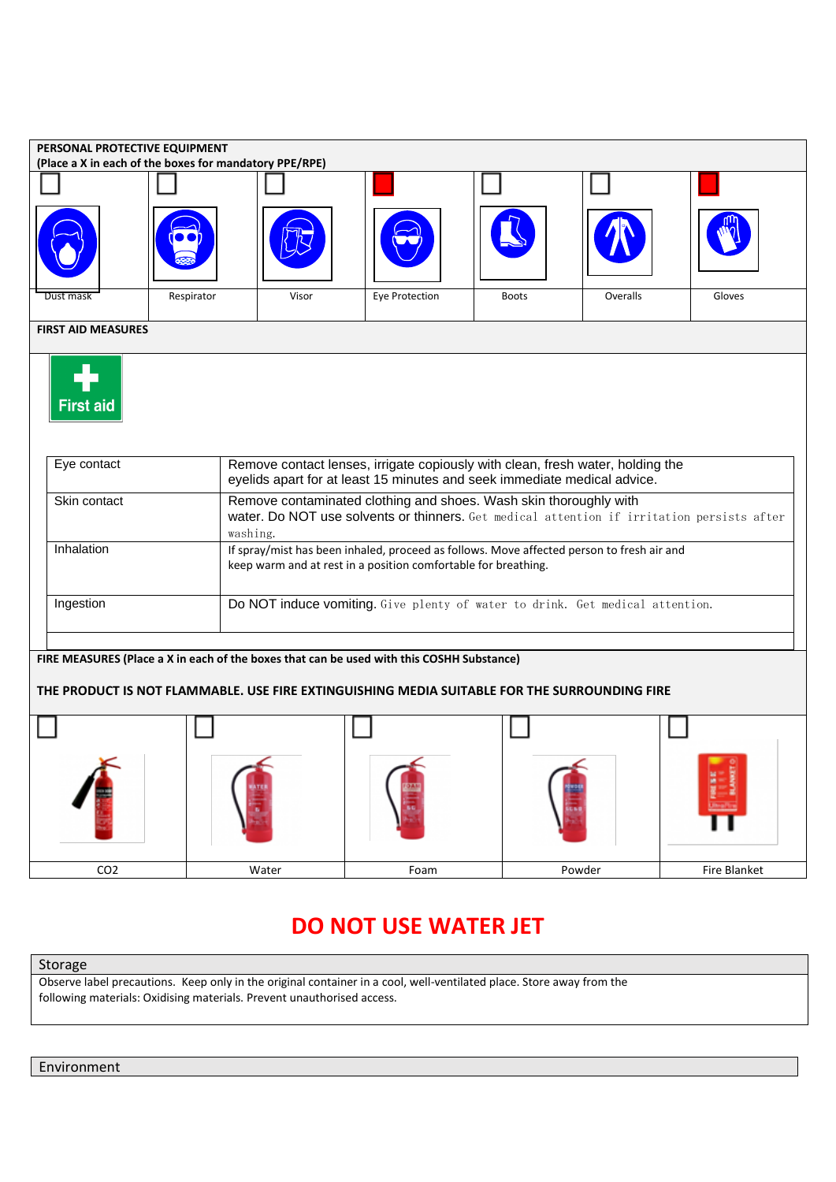|                                                                                                                                                                                           | PERSONAL PROTECTIVE EQUIPMENT<br>(Place a X in each of the boxes for mandatory PPE/RPE)                                                                     |                                                                                                                                                                             |                |              |          |        |  |  |
|-------------------------------------------------------------------------------------------------------------------------------------------------------------------------------------------|-------------------------------------------------------------------------------------------------------------------------------------------------------------|-----------------------------------------------------------------------------------------------------------------------------------------------------------------------------|----------------|--------------|----------|--------|--|--|
|                                                                                                                                                                                           |                                                                                                                                                             |                                                                                                                                                                             |                |              |          |        |  |  |
|                                                                                                                                                                                           |                                                                                                                                                             |                                                                                                                                                                             |                |              |          |        |  |  |
|                                                                                                                                                                                           |                                                                                                                                                             |                                                                                                                                                                             |                |              |          |        |  |  |
| Dust mask                                                                                                                                                                                 | Respirator                                                                                                                                                  | Visor                                                                                                                                                                       | Eye Protection | <b>Boots</b> | Overalls | Gloves |  |  |
| <b>FIRST AID MEASURES</b>                                                                                                                                                                 |                                                                                                                                                             |                                                                                                                                                                             |                |              |          |        |  |  |
| <b>First aid</b>                                                                                                                                                                          |                                                                                                                                                             |                                                                                                                                                                             |                |              |          |        |  |  |
| Eye contact                                                                                                                                                                               | Remove contact lenses, irrigate copiously with clean, fresh water, holding the<br>eyelids apart for at least 15 minutes and seek immediate medical advice.  |                                                                                                                                                                             |                |              |          |        |  |  |
| Skin contact                                                                                                                                                                              |                                                                                                                                                             | Remove contaminated clothing and shoes. Wash skin thoroughly with<br>water. Do NOT use solvents or thinners. Get medical attention if irritation persists after<br>washing. |                |              |          |        |  |  |
| Inhalation                                                                                                                                                                                | If spray/mist has been inhaled, proceed as follows. Move affected person to fresh air and<br>keep warm and at rest in a position comfortable for breathing. |                                                                                                                                                                             |                |              |          |        |  |  |
| Ingestion                                                                                                                                                                                 | Do NOT induce vomiting. Give plenty of water to drink. Get medical attention.                                                                               |                                                                                                                                                                             |                |              |          |        |  |  |
|                                                                                                                                                                                           |                                                                                                                                                             |                                                                                                                                                                             |                |              |          |        |  |  |
| FIRE MEASURES (Place a X in each of the boxes that can be used with this COSHH Substance)<br>THE PRODUCT IS NOT FLAMMABLE. USE FIRE EXTINGUISHING MEDIA SUITABLE FOR THE SURROUNDING FIRE |                                                                                                                                                             |                                                                                                                                                                             |                |              |          |        |  |  |
|                                                                                                                                                                                           |                                                                                                                                                             |                                                                                                                                                                             |                |              |          |        |  |  |
|                                                                                                                                                                                           |                                                                                                                                                             |                                                                                                                                                                             |                |              |          |        |  |  |
|                                                                                                                                                                                           |                                                                                                                                                             |                                                                                                                                                                             |                |              |          |        |  |  |

## **DO NOT USE WATER JET**

CO2 Water Foam Powder Fire Blanket

Storage

Observe label precautions. Keep only in the original container in a cool, well-ventilated place. Store away from the following materials: Oxidising materials. Prevent unauthorised access.

Environment